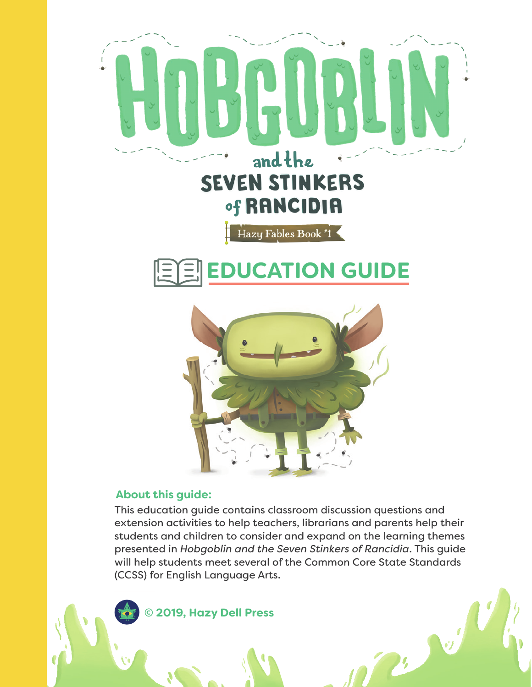





### **About this guide:**

This education guide contains classroom discussion questions and extension activities to help teachers, librarians and parents help their students and children to consider and expand on the learning themes presented in *Hobgoblin and the Seven Stinkers of Rancidia*. This guide will help students meet several of the Common Core State Standards (CCSS) for English Language Arts.

**D** 

**© 2019, Hazy Dell Press**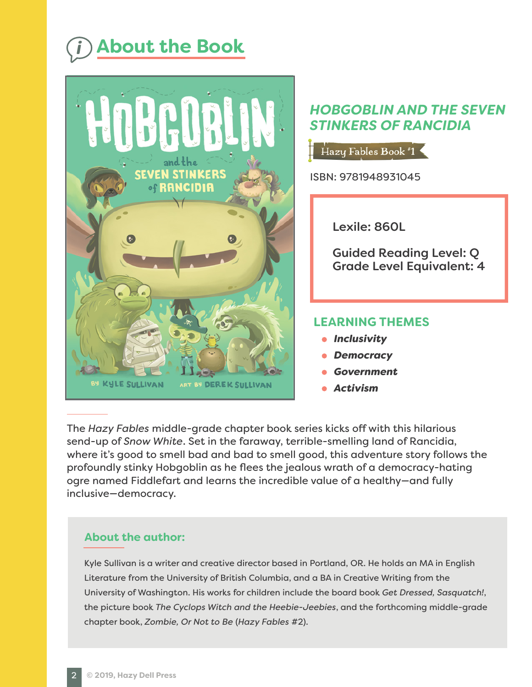# *i* **About the Book**



## *HOBGOBLIN AND THE SEVEN STINKERS OF RANCIDIA*

Hazy Fables Book #1

ISBN: 9781948931045

Lexile: 860L

Guided Reading Level: Q Grade Level Equivalent: 4

## **LEARNING THEMES**

- **•** Inclusivity
- *Democracy*
- *Government*
- *Activism*

The *Hazy Fables* middle-grade chapter book series kicks off with this hilarious send-up of *Snow White*. Set in the faraway, terrible-smelling land of Rancidia, where it's good to smell bad and bad to smell good, this adventure story follows the profoundly stinky Hobgoblin as he flees the jealous wrath of a democracy-hating ogre named Fiddlefart and learns the incredible value of a healthy—and fully inclusive—democracy.

## **About the author:**

Kyle Sullivan is a writer and creative director based in Portland, OR. He holds an MA in English Literature from the University of British Columbia, and a BA in Creative Writing from the University of Washington. His works for children include the board book *Get Dressed, Sasquatch!*, the picture book *The Cyclops Witch and the Heebie-Jeebies*, and the forthcoming middle-grade chapter book, *Zombie, Or Not to Be* (*Hazy Fables* #2).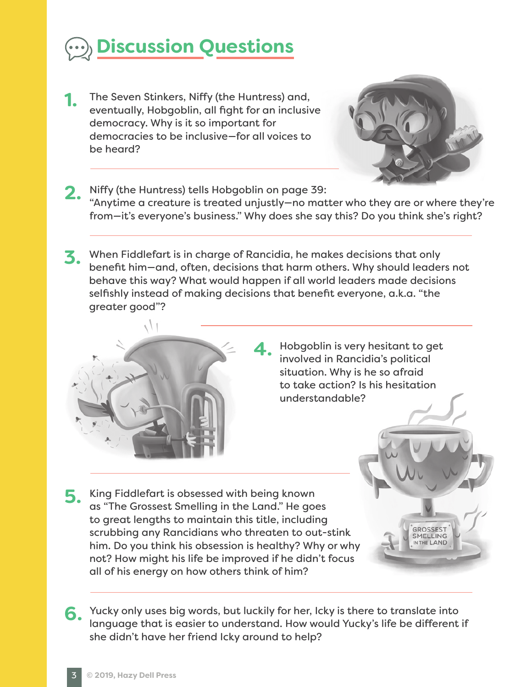

The Seven Stinkers, Niffy (the Huntress) and, eventually, Hobgoblin, all fight for an inclusive democracy. Why is it so important for democracies to be inclusive—for all voices to be heard? **1.**



**GROSSEST MELLING** 

- Niffy (the Huntress) tells Hobgoblin on page 39: "Anytime a creature is treated unjustly—no matter who they are or where they're from—it's everyone's business." Why does she say this? Do you think she's right? **2.**
- When Fiddlefart is in charge of Rancidia, he makes decisions that only **3.** benefit him—and, often, decisions that harm others. Why should leaders not behave this way? What would happen if all world leaders made decisions selfishly instead of making decisions that benefit everyone, a.k.a. "the greater good"?

**4.**



Hobgoblin is very hesitant to get involved in Rancidia's political situation. Why is he so afraid to take action? Is his hesitation understandable?

**5.** King Fiddlefart is obsessed with being known<br> **5.** GS "The Grossest Smelling in the Land" He goes as "The Grossest Smelling in the Land." He goes to great lengths to maintain this title, including scrubbing any Rancidians who threaten to out-stink him. Do you think his obsession is healthy? Why or why not? How might his life be improved if he didn't focus all of his energy on how others think of him?

Yucky only uses big words, but luckily for her, Icky is there to translate into language that is easier to understand. How would Yucky's life be different if she didn't have her friend Icky around to help? **6.**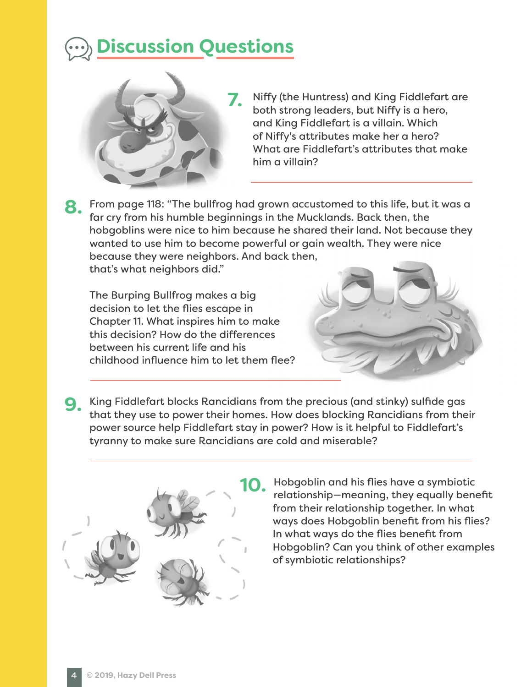# **Discussion Questions**



- Niffy (the Huntress) and King Fiddlefart are both strong leaders, but Niffy is a hero, and King Fiddlefart is a villain. Which of Niffy's attributes make her a hero? What are Fiddlefart's attributes that make him a villain?
- From page 118: "The bullfrog had grown accustomed to this life, but it was a far cry from his humble beginnings in the Mucklands. Back then, the hobgoblins were nice to him because he shared their land. Not because they wanted to use him to become powerful or gain wealth. They were nice because they were neighbors. And back then, that's what neighbors did." **8.**

The Burping Bullfrog makes a big decision to let the flies escape in Chapter 11. What inspires him to make this decision? How do the differences between his current life and his childhood influence him to let them flee?



King Fiddlefart blocks Rancidians from the precious (and stinky) sulfide gas **9.** that they use to power their homes. How does blocking Rancidians from their power source help Fiddlefart stay in power? How is it helpful to Fiddlefart's tyranny to make sure Rancidians are cold and miserable?



Hobgoblin and his flies have a symbiotic relationship—meaning, they equally benefit from their relationship together. In what ways does Hobgoblin benefit from his flies? In what ways do the flies benefit from Hobgoblin? Can you think of other examples of symbiotic relationships?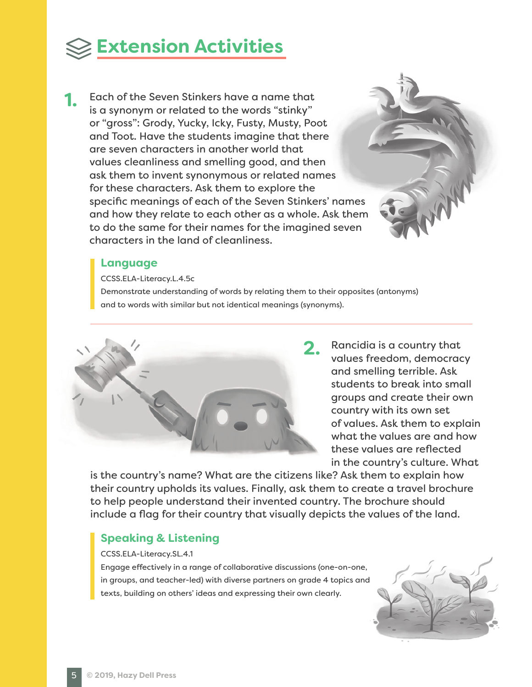

Each of the Seven Stinkers have a name that is a synonym or related to the words "stinky" or "gross": Grody, Yucky, Icky, Fusty, Musty, Poot and Toot. Have the students imagine that there are seven characters in another world that values cleanliness and smelling good, and then ask them to invent synonymous or related names for these characters. Ask them to explore the specific meanings of each of the Seven Stinkers' names and how they relate to each other as a whole. Ask them to do the same for their names for the imagined seven characters in the land of cleanliness. **1.**

### **Language**

CCSS.ELA-Literacy.L.4.5c

Demonstrate understanding of words by relating them to their opposites (antonyms) and to words with similar but not identical meanings (synonyms).



2. Rancidia is a country that<br> **2.** values freedom, democracy values freedom, democracy and smelling terrible. Ask students to break into small groups and create their own country with its own set of values. Ask them to explain what the values are and how these values are reflected in the country's culture. What

is the country's name? What are the citizens like? Ask them to explain how their country upholds its values. Finally, ask them to create a travel brochure to help people understand their invented country. The brochure should include a flag for their country that visually depicts the values of the land.

## **Speaking & Listening**

#### CCSS.ELA-Literacy.SL.4.1

Engage effectively in a range of collaborative discussions (one-on-one, in groups, and teacher-led) with diverse partners on grade 4 topics and texts, building on others' ideas and expressing their own clearly.

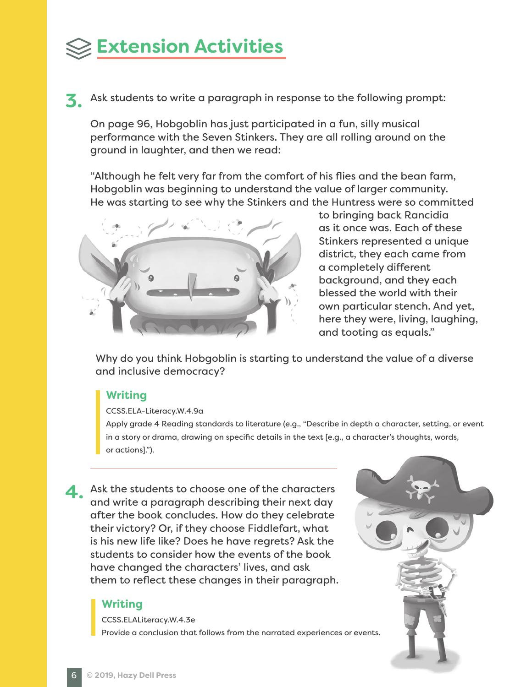## **Extension Activities**

Ask students to write a paragraph in response to the following prompt: **3.**

On page 96, Hobgoblin has just participated in a fun, silly musical performance with the Seven Stinkers. They are all rolling around on the ground in laughter, and then we read:

"Although he felt very far from the comfort of his flies and the bean farm, Hobgoblin was beginning to understand the value of larger community. He was starting to see why the Stinkers and the Huntress were so committed



to bringing back Rancidia as it once was. Each of these Stinkers represented a unique district, they each came from a completely different background, and they each blessed the world with their own particular stench. And yet, here they were, living, laughing, and tooting as equals."

Why do you think Hobgoblin is starting to understand the value of a diverse and inclusive democracy?

## **Writing**

### CCSS.ELA-Literacy.W.4.9a

Apply grade 4 Reading standards to literature (e.g., "Describe in depth a character, setting, or event in a story or drama, drawing on specific details in the text [e.g., a character's thoughts, words, or actions].").

Ask the students to choose one of the characters<br>
and write a paragraph describing their next day and write a paragraph describing their next day after the book concludes. How do they celebrate their victory? Or, if they choose Fiddlefart, what is his new life like? Does he have regrets? Ask the students to consider how the events of the book have changed the characters' lives, and ask them to reflect these changes in their paragraph.

## **Writing**

CCSS.ELALiteracy.W.4.3e

Provide a conclusion that follows from the narrated experiences or events.